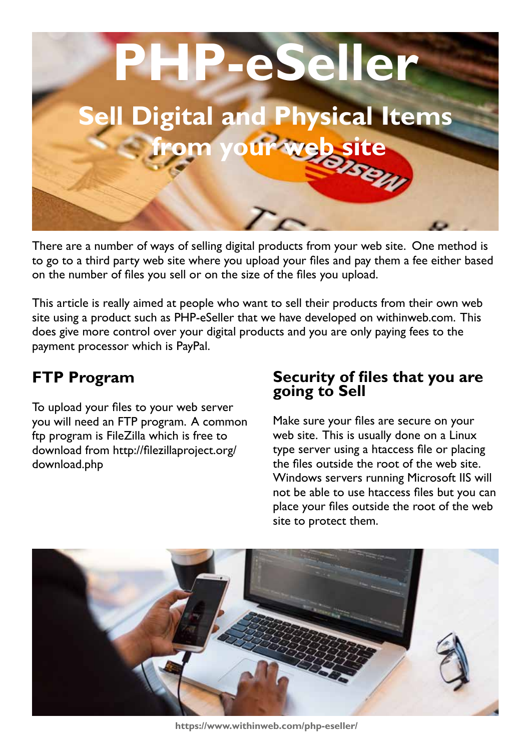

There are a number of ways of selling digital products from your web site. One method is to go to a third party web site where you upload your files and pay them a fee either based on the number of files you sell or on the size of the files you upload.

This article is really aimed at people who want to sell their products from their own web site using a product such as PHP-eSeller that we have developed on withinweb.com. This does give more control over your digital products and you are only paying fees to the payment processor which is PayPal.

## **FTP Program**

To upload your files to your web server you will need an FTP program. A common ftp program is FileZilla which is free to download from http://filezillaproject.org/ download.php

## **Security of files that you are going to Sell**

Make sure your files are secure on your web site. This is usually done on a Linux type server using a htaccess file or placing the files outside the root of the web site. Windows servers running Microsoft IIS will not be able to use htaccess files but you can place your files outside the root of the web site to protect them.



**https://www.withinweb.com/php-eseller/**